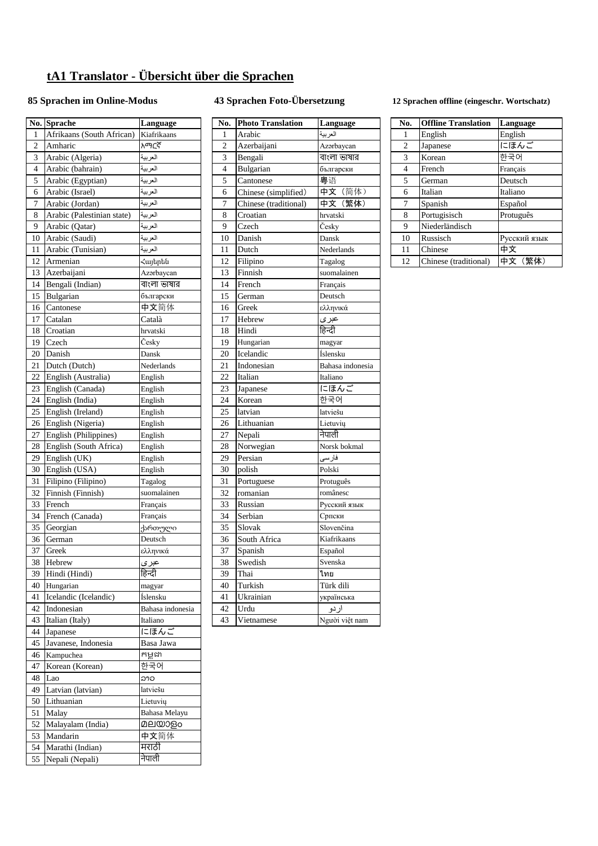## **tA1 Translator - Übersicht über die Sprachen**

## **85 Sprachen im Online-Modus 43 Sprachen Foto-Übersetzung 12 Sprachen offline (eingeschr. Wortschatz)**

| 1      | No. Sprache                | Language               | No. | <b>Photo Translation</b> | Language         |
|--------|----------------------------|------------------------|-----|--------------------------|------------------|
| 2      | Afrikaans (South African)  | Kiafrikaans            | 1   | Arabic                   | العربية          |
|        | Amharic                    | አማርኛ                   | 2   | Azerbaijani              | Azərbaycan       |
|        | Arabic (Algeria)           | العربية                | 3   | Bengali                  | বাংলা ভাষার      |
|        | Arabic (bahrain)           | العربية                | 4   | Bulgarian                | български        |
|        | Arabic (Egyptian)          | العربية                | 5   | Cantonese                | 粤语               |
| 6<br>7 | Arabic (Israel)            | العربية                | 6   | Chinese (simplified)     | 中文(简体)           |
|        | Arabic (Jordan)            | العربية                | 7   | Chinese (traditional)    | 中文(繁体)           |
| 8      | Arabic (Palestinian state) | العربية                | 8   | Croatian                 | hrvatski         |
| 9      | Arabic (Qatar)             | العربية                | 9   | Czech                    | Česky            |
|        | 10 Arabic (Saudi)          | العربية                | 10  | Danish                   | Dansk            |
|        | 11 Arabic (Tunisian)       | العربية                | 11  | Dutch                    | Nederlands       |
| 12     | Armenian                   | Հայերեն                | 12  | Filipino                 | Tagalog          |
|        | 13 Azerbaijani             | Azərbaycan             | 13  | Finnish                  | suomalainen      |
|        | 14 Bengali (Indian)        | বাংলা ভাষার            | 14  | French                   | Français         |
|        | 15 Bulgarian               | български              | 15  | German                   | Deutsch          |
| 16     | Cantonese                  | 中文简体                   | 16  | Greek                    | ελληνικά         |
| 17     | Catalan                    | Català                 | 17  | Hebrew                   | عبرى             |
| 18     | Croatian                   | hrvatski               | 18  | Hindi                    | हिन्दी           |
| 19     | Czech                      | Česky                  | 19  | Hungarian                | magyar           |
| 20     | Danish                     |                        | 20  | Icelandic                |                  |
|        |                            | Dansk                  | 21  |                          | Íslensku         |
|        | 21 Dutch (Dutch)           | Nederlands             |     | Indonesian               | Bahasa indonesia |
|        | 22 English (Australia)     | English                | 22  | Italian                  | Italiano         |
|        | 23 English (Canada)        | English                | 23  | Japanese                 | にほんご             |
|        | 24 English (India)         | English                | 24  | Korean                   | 한국어              |
|        | 25 English (Ireland)       | English                | 25  | latvian                  | latviešu         |
|        | 26 English (Nigeria)       | English                | 26  | Lithuanian               | Lietuvių         |
| 27     | English (Philippines)      | English                | 27  | Nepali                   | नेपाली           |
| 28     | English (South Africa)     | English                | 28  | Norwegian                | Norsk bokmal     |
| 29     | English (UK)               | English                | 29  | Persian                  | فارسى            |
|        | 30 English (USA)           | English                | 30  | polish                   | Polski           |
| 31     | Filipino (Filipino)        | Tagalog                | 31  | Portuguese               | Protuguês        |
| 32     | Finnish (Finnish)          | suomalainen            | 32  | romanian                 | românesc         |
| 33     | French                     | Français               | 33  | Russian                  | Русский язык     |
|        | 34 French (Canada)         | Français               | 34  | Serbian                  | Српски           |
| 35     | Georgian                   | ქართული                | 35  | Slovak                   | Slovenčina       |
|        | 36 German                  | Deutsch                | 36  | South Africa             | Kiafrikaans      |
|        | 37 Greek                   | ελληνικά               | 37  | Spanish                  | Español          |
|        | 38 Hebrew                  |                        | 38  | Swedish                  | Svenska          |
|        |                            | <u>عبر ی</u><br>हिन्दी |     |                          |                  |
|        | 39 Hindi (Hindi)           |                        | 39  | Thai                     | ไทย              |
|        | 40 Hungarian               | magyar                 | 40  | Turkish                  | Türk dili        |
|        | 41 Icelandic (Icelandic)   | Íslensku               | 41  | Ukrainian                | українська       |
|        | 42 Indonesian              | Bahasa indonesia       | 42  | Urdu                     | اردو             |
|        | 43 Italian (Italy)         | Italiano               | 43  | Vietnamese               | Người việt nam   |
|        | 44 Japanese                | にほんご                   |     |                          |                  |
|        | 45 Javanese, Indonesia     | Basa Jawa              |     |                          |                  |
|        | 46 Kampuchea               | កម្ពុជា                |     |                          |                  |
|        | 47 Korean (Korean)         | 한국어                    |     |                          |                  |
|        | 48 Lao                     | ລາວ                    |     |                          |                  |
|        | 49 Latvian (latvian)       | latviešu               |     |                          |                  |
|        | 50 Lithuanian              | Lietuvių               |     |                          |                  |
|        | 51 Malay                   | Bahasa Melayu          |     |                          |                  |
|        | 52 Malayalam (India)       | മലയാളം                 |     |                          |                  |
|        | 53 Mandarin                | 中文简体                   |     |                          |                  |
|        | 54 Marathi (Indian)        | मराठी                  |     |                          |                  |
|        |                            |                        |     |                          |                  |
|        | 55 Nepali (Nepali)         | नेपाली                 |     |                          |                  |

|                         | <b>No. Sprache</b>         | Language         | No.            | <b>Photo Translation</b> | Language         | No.            | <b>Offline Translation</b> | Language     |
|-------------------------|----------------------------|------------------|----------------|--------------------------|------------------|----------------|----------------------------|--------------|
| $\mathbf{1}$            | Afrikaans (South African)  | Kiafrikaans      | 1              | Arabic                   | العر بية         | 1              | English                    | English      |
| $\overline{2}$          | Amharic                    | አማርኛ             | $\overline{2}$ | Azerbaijani              | Azərbaycan       | $\overline{2}$ | Japanese                   | にほんご         |
| $\overline{\mathbf{3}}$ | Arabic (Algeria)           | العربية          | 3              | Bengali                  | বাংলা ভাষার      | 3              | Korean                     | 한국어          |
| $\overline{4}$          | Arabic (bahrain)           | العربية          | $\overline{4}$ | Bulgarian                | български        | 4              | French                     | Français     |
| 5                       | Arabic (Egyptian)          | العربية          | 5              | Cantonese                | 粤语               | 5              | German                     | Deutsch      |
| 6                       | Arabic (Israel)            | العربية          | 6              | Chinese (simplified)     | 中文 (简体)          | 6              | Italian                    | Italiano     |
| $\overline{7}$          | Arabic (Jordan)            | العربية          | 7              | Chinese (traditional)    | 中文 (繁体)          | 7              | Spanish                    | Español      |
| 8                       | Arabic (Palestinian state) | العربية          | 8              | Croatian                 | hrvatski         | 8              | Portugisisch               | Protuguês    |
| 9                       | Arabic (Qatar)             | العربية          | 9              | Czech                    | Česky            | 9              | Niederländisch             |              |
| 10                      | Arabic (Saudi)             | العربية          | 10             | Danish                   | Dansk            | 10             | Russisch                   | Русский язык |
| 11                      | Arabic (Tunisian)          | العربية          | 11             | Dutch                    | Nederlands       | 11             | Chinese                    | 中文           |
| 12                      | Armenian                   | Հայերեն          | 12             | Filipino                 | Tagalog          | 12             | Chinese (traditional)      | 中文 (繁体)      |
| 13                      | Azerbaijani                | Azərbaycan       | 13             | Finnish                  | suomalainen      |                |                            |              |
| 14                      | Bengali (Indian)           | বাংলা ভাষার      | 14             | French                   | Français         |                |                            |              |
| 15                      | Bulgarian                  | български        | 15             | German                   | Deutsch          |                |                            |              |
| 16                      | Cantonese                  | 中文简体             | 16             | Greek                    | ελληνικά         |                |                            |              |
| 17                      | Catalan                    | Català           | 17             | Hebrew                   | عبرى             |                |                            |              |
| 18                      | Croatian                   | hrvatski         | 18             | Hindi                    | हिन्दी           |                |                            |              |
| 19                      | Czech                      | Česky            | 19             | Hungarian                | magyar           |                |                            |              |
| 20                      | Danish                     | Dansk            | 20             | Icelandic                | Íslensku         |                |                            |              |
| 21                      | Dutch (Dutch)              | Nederlands       | 21             | Indonesian               | Bahasa indonesia |                |                            |              |
| 22                      | English (Australia)        | English          | 22             | Italian                  | Italiano         |                |                            |              |
| 23                      | English (Canada)           | English          | 23             | Japanese                 | にほんご             |                |                            |              |
| 24                      | English (India)            | English          | 24             | Korean                   | 한국어              |                |                            |              |
| 25                      | English (Ireland)          | English          | 25             | latvian                  | latviešu         |                |                            |              |
| 26                      | English (Nigeria)          | English          | 26             | Lithuanian               | Lietuvių         |                |                            |              |
| 27                      | English (Philippines)      | English          | 27             | Nepali                   | नेपाली           |                |                            |              |
| 28                      | English (South Africa)     | English          | 28             | Norwegian                | Norsk bokmal     |                |                            |              |
| 29                      | English (UK)               | English          | 29             | Persian                  | فارسى            |                |                            |              |
| 30                      | English (USA)              | English          | 30             | polish                   | Polski           |                |                            |              |
| 31                      | Filipino (Filipino)        | Tagalog          | 31             | Portuguese               | Protuguês        |                |                            |              |
| 32                      | Finnish (Finnish)          | suomalainen      | 32             | romanian                 | românesc         |                |                            |              |
| 33                      | French                     | Français         | 33             | Russian                  | Русский язык     |                |                            |              |
| 34                      | French (Canada)            | Français         | 34             | Serbian                  | Српски           |                |                            |              |
| 35                      | Georgian                   | ქართული          | 35             | Slovak                   | Slovenčina       |                |                            |              |
| 36                      | German                     | Deutsch          | 36             | South Africa             | Kiafrikaans      |                |                            |              |
| 37                      | Greek                      | ελληνικά         | 37             | Spanish                  | Español          |                |                            |              |
| 38                      | Hebrew                     | عبرى             | 38             | Swedish                  | Svenska          |                |                            |              |
| 39                      | Hindi (Hindi)              | हिन्दी           | 39             | Thai                     | ไทย              |                |                            |              |
| 40                      | Hungarian                  | magyar           | 40             | Turkish                  | Türk dili        |                |                            |              |
| 41                      | Icelandic (Icelandic)      | Íslensku         | 41             | Ukrainian                | українська       |                |                            |              |
| 42                      | Indonesian                 | Bahasa indonesia | 42             | Urdu                     | اردو             |                |                            |              |
|                         | 43 Italian (Italy)         | Italiano         | 43             | Vietnamese               | Người việt nam   |                |                            |              |
|                         |                            |                  |                |                          |                  |                |                            |              |

| No. | <b>Offline Translation</b> | Language     |
|-----|----------------------------|--------------|
| 1   | English                    | English      |
| 2   | Japanese                   | にほんご         |
| 3   | Korean                     | 한국어          |
| 4   | French                     | Français     |
| 5   | German                     | Deutsch      |
| 6   | Italian                    | Italiano     |
| 7   | Spanish                    | Español      |
| 8   | Portugisisch               | Protuguês    |
| 9   | Niederländisch             |              |
| 10  | Russisch                   | Русский язык |
| 11  | Chinese                    | 中文           |
| 12  | Chinese (traditional)      | (繁体)<br>中文   |